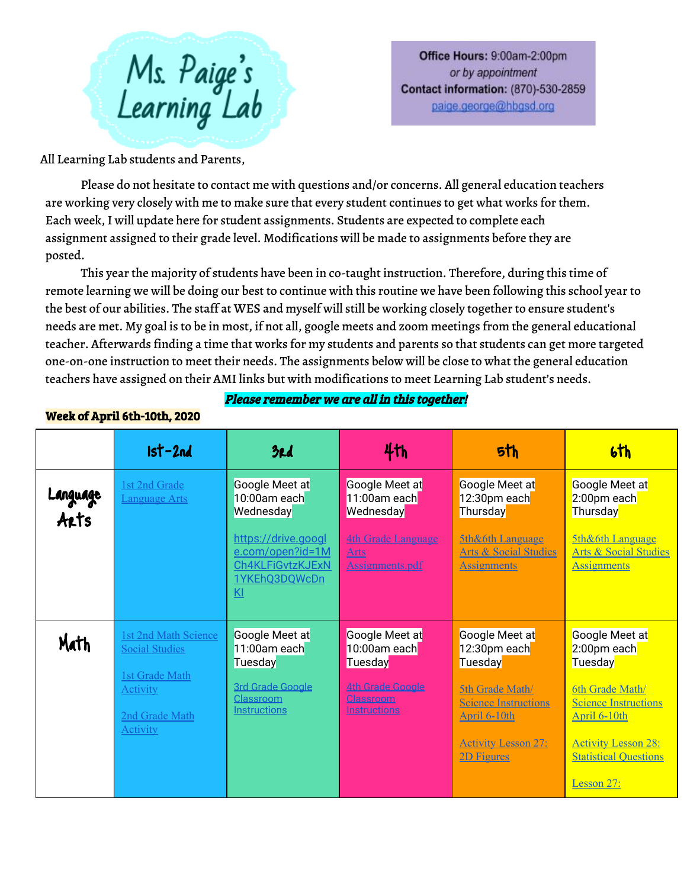

Office Hours: 9:00am-2:00pm or by appointment **Contact information: (870)-530-2859** paige.george@hbgsd.org

All Learning Lab students and Parents,

Please do not hesitate to contact me with questions and/or concerns. All general education teachers are working very closely with me to make sure that every student continues to get what works for them. Each week, I will update here for student assignments. Students are expected to complete each assignment assigned to their grade level. Modifications will be made to assignments before they are posted.

This year the majority of students have been in co-taught instruction. Therefore, during this time of remote learning we will be doing our best to continue with this routine we have been following this school yearto the best of our abilities. The staff at WES and myself will still be working closely together to ensure student's needs are met. My goal is to be in most, if not all, google meets and zoom meetings from the general educational teacher. Afterwards finding a time that works for my students and parents so that students can get more targeted one-on-one instruction to meet their needs. The assignments below will be close to what the general education teachers have assigned on their AMI links but with modifications to meet Learning Lab student's needs.

## Please remember we are all in this together!

## Week of April 6th-10th, 2020

|                  | $1st-2nd$                                                                     | 3rd                                                                                | 4th                                                         | 5th                                                                                   | 6th                                                                                   |
|------------------|-------------------------------------------------------------------------------|------------------------------------------------------------------------------------|-------------------------------------------------------------|---------------------------------------------------------------------------------------|---------------------------------------------------------------------------------------|
| Language<br>Arts | 1st 2nd Grade<br>Language Arts                                                | Google Meet at<br>10:00am each<br>Wednesday                                        | Google Meet at<br>11:00am each<br>Wednesday                 | Google Meet at<br>12:30pm each<br>Thursday                                            | Google Meet at<br>2:00pm each<br>Thursday <mark>l</mark>                              |
|                  |                                                                               | https://drive.googl<br>e.com/open?id=1M<br>Ch4KLFiGvtzKJExN<br>1YKEhQ3DQWcDn<br>Kl | <b>4th Grade Language</b><br><u>Arts</u><br>Assignments.pdf | <b>5th&amp;6th Language</b><br><b>Arts &amp; Social Studies</b><br><b>Assignments</b> | <b>5th&amp;6th Language</b><br><b>Arts &amp; Social Studies</b><br><b>Assignments</b> |
| Math             | <b>1st 2nd Math Science</b><br><b>Social Studies</b><br><b>1st Grade Math</b> | Google Meet at<br>11:00am each<br><b>Tuesday</b>                                   | Google Meet at<br>10:00am each<br><b>Tuesday</b>            | Google Meet at<br>12:30pm each<br>Tuesday                                             | Google Meet at<br>2:00pm each<br>Tuesday                                              |
|                  | <b>Activity</b><br>2nd Grade Math<br><b>Activity</b>                          | <b>3rd Grade Google</b><br>Classroom<br>Instructions                               | <b>4th Grade Google</b><br>Classroom<br><b>Instructions</b> | <b>5th Grade Math/</b><br><b>Science Instructions</b><br>April 6-10th                 | <b>6th Grade Math/</b><br><b>Science Instructions</b><br>April 6-10th                 |
|                  |                                                                               |                                                                                    |                                                             | <b>Activity Lesson 27:</b><br>2D Figures                                              | <b>Activity Lesson 28:</b><br><b>Statistical Questions</b>                            |
|                  |                                                                               |                                                                                    |                                                             |                                                                                       | Lesson 27:                                                                            |